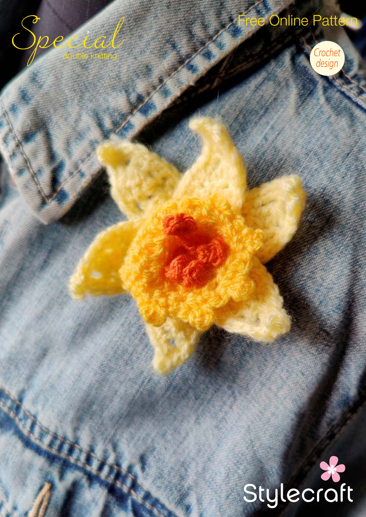# Online Pattern

double knitting



# Stylecraft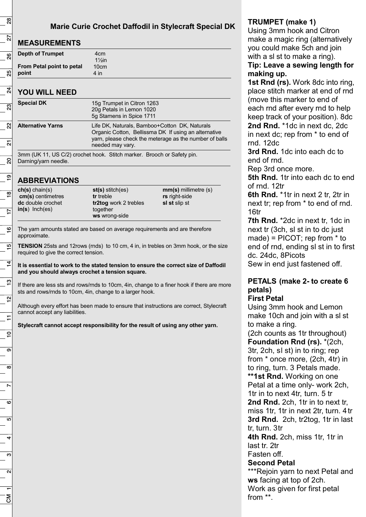# **Marie Curie Crochet Daffodil in Stylecraft Special DK**

# **MEASUREMENTS**

| <u>MEAVOREMENTU</u>       |                   |  |
|---------------------------|-------------------|--|
| <b>Depth of Trumpet</b>   | 4cm               |  |
|                           | $1\frac{1}{2}$ in |  |
| From Petal point to petal | 10cm              |  |
| point                     | 4 in              |  |

# **YOU WILL NEED**

| <b>Special DK</b>        | 15g Trumpet in Citron 1263<br>20g Petals in Lemon 1020<br>5g Stamens in Spice 1711                                                                                                  |
|--------------------------|-------------------------------------------------------------------------------------------------------------------------------------------------------------------------------------|
| <b>Alternative Yarns</b> | Life DK, Naturals, Bamboo+Cotton DK, Naturals<br>Organic Cotton, Bellissma DK If using an alternative<br>yarn, please check the meterage as the number of balls<br>needed may vary. |

3mm (UK 11, US C/2) crochet hook. Stitch marker. Brooch or Safety pin. Darning/yarn needle.

# **ABBREVIATIONS**

| $ch(s)$ chain(s)         |  |
|--------------------------|--|
| cm(s) centimetres        |  |
| <b>dc</b> double crochet |  |
| $in(s)$ lnch(es)         |  |
|                          |  |

**st(s)** stitch(es) **tr** treble **tr2tog** work 2 trebles together **ws** wrong-side

**mm(s)** millimetre (s) **rs** right-side **sl st** slip st

The yarn amounts stated are based on average requirements and are therefore approximate.

**TENSION** 25sts and 12rows (rnds) to 10 cm, 4 in, in trebles on 3mm hook, or the size required to give the correct tension.

**It is essential to work to the stated tension to ensure the correct size of Daffodil and you should always crochet a tension square.**

If there are less sts and rows/rnds to 10cm, 4in, change to a finer hook if there are more sts and rows/rnds to 10cm, 4in, change to a larger hook.

Although every effort has been made to ensure that instructions are correct, Stylecraft cannot accept any liabilities.

**Stylecraft cannot accept responsibility for the result of using any other yarn.**

# **TRUMPET (make 1)**

Using 3mm hook and Citron make a magic ring (alternatively you could make 5ch and join with a sl st to make a ring).

#### **Tip: Leave a sewing length for making up.**

**1st Rnd (rs).** Work 8dc into ring, place stitch marker at end of rnd (move this marker to end of each rnd after every rnd to help keep track of your position). 8dc **2nd Rnd.** \*1dc in next dc, 2dc in next dc; rep from \* to end of rnd. 12dc

**3rd Rnd.** 1dc into each dc to end of rnd.

Rep 3rd once more.

**5th Rnd.** 1tr into each dc to end of rnd. 12tr

**6th Rnd.** \*1tr in next 2 tr, 2tr in next tr; rep from \* to end of rnd. 16tr

**7th Rnd.** \*2dc in next tr, 1dc in next tr (3ch, sl st in to dc just made) = PICOT; rep from \* to end of rnd, ending sl st in to first dc. 24dc, 8Picots Sew in end just fastened off.

# **PETALS (make 2- to create 6 petals)**

#### **First Petal**

Using 3mm hook and Lemon make 10ch and join with a sl st to make a ring.

(2ch counts as 1tr throughout) **Foundation Rnd (rs).** \*(2ch, 3tr, 2ch, sl st) in to ring; rep from \* once more, (2ch, 4tr) in to ring, turn. 3 Petals made. **\*\*1st Rnd.** Working on one Petal at a time only- work 2ch, 1tr in to next 4tr, turn. 5 tr **2nd Rnd.** 2ch, 1tr in to next tr, miss 1tr, 1tr in next 2tr, turn. 4tr **3rd Rnd.** 2ch, tr2tog, 1tr in last tr, turn. 3tr

**4th Rnd.** 2ch, miss 1tr, 1tr in last tr. 2tr Fasten off.

#### **Second Petal**

\*\*\*Rejoin yarn to next Petal and **ws** facing at top of 2ch. Work as given for first petal from \*\*.